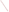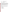| <b>AGENCY:</b>     | <b>ENVIRONMENTAL PROTECTION AGENCY (EPA)</b>      |
|--------------------|---------------------------------------------------|
| TITLE:             | <b>Clean Diesel Emerging Technologies Program</b> |
| <b>ACTION:</b>     | <b>Request for Proposals (RFP)</b>                |
| <b>RFP Number:</b> | EPA-OAR-OTAQ-08-06                                |

## **CATALOG OF FEDERAL DOMESTIC ASSISTANCE NUMBER: NO: 66.039**

**DATES:** The closing date and time for receipt of proposals is **September 21, 2008 4:00 PM Eastern Standard Time.** All hard copies of proposal packages must be received by Jennifer Went by **September 21, 2008 4:00 PM Eastern Standard Time** in order to be considered for funding. Electronic submissions must be submitted via www.Grants.gov by **September 21, 2008, 11:59 PM Eastern Standard Time**. Proposals received after the closing date and time will not be considered for funding. Final applications, including any additional information which is required by statute from the applicant, will be requested from those eligible entities whose proposal has been successfully evaluated and preliminarily recommended for award.

**SUMMARY:** This notice announces the availability of funds and solicits proposals for diesel emissions reductions projects for the use of and development and commercialization of emerging technologies.

**FUNDING/AWARDS**: The total estimated funding for this competitive opportunity is approximately \$3 million. EPA anticipates making 2-5 cooperative agreements, ranging from \$200,000 - \$1,000,000, subject to availability of funds and the quality of proposals received.

# **CONTENTS BY SECTION**

- I. Funding Opportunity Description
- II. Award Information
- III. Eligibility Information
- IV. Proposal and Submission Information
- V. Proposal Review Information
- VI. Award Administration Information
- VII. Agency Contacts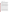## **I. FUNDING OPPORTUNITY DESCRIPTION**

### **A. Background**

The U.S. Environmental Protection Agency (EPA)'s National Clean Diesel Campaign is announcing the availability of funding assistance through the Energy Policy Act of 2005, Public Law 109-58, signed August 8, 2005 (EPAct 2005). The Diesel Emissions Reduction National Program authorized by Title VII, Subtitle G (Section 792) of the EPAct 2005 enables EPA to offer cooperative agreements to eligible entities on a competitive basis to fund diesel emission reduction projects throughout the United States. Under the Clean Diesel Emerging Technologies Program, EPA is soliciting proposals for the development and commercialization of emerging technologies that reduce diesel emissions.

The Clean Diesel Emerging Technologies Program is an opportunity to develop and commercialize new, cutting-edge technologies that reduce diesel emissions from existing fleets. Under this solicitation, EPA will provide funding assistance to selected eligible entities to develop and commercialize emerging technologies. An emerging technology is defined, in section 791 of EPAct 2005, as a technology that is not certified or verified by EPA or the California Air Resources Board (CARB) but for which an approvable application and test plan has been submitted for verification to EPA or CARB. An emerging technology is a device or strategy that reduces emissions from diesel engines or diesel engine powered vehicles or equipment. EPA will list technologies on the National Clean Diesel Campaign's website that qualify as emerging technologies for the purpose of this funding solicitation. Manufacturers with a technology on this Emerging Technology List have received approval of their application and test plan. Fully verified technologies included on EPA or CARB's Verified Technology List may not be used in projects funded through this Request for Proposal (RFP).

Funding will be in the form of cooperative agreements, which must be used to achieve significant reductions in diesel emissions in terms of--(1) tons of pollution reduced; and (2) diesel emissions exposure, particularly from fleets operating in areas designated by the Administrator as poor air quality areas.

Diesel emissions account for about 6.3 million tons of oxides of nitrogen (NOx) and 305,000 tons of particulate matter (PM) in the national mobile emissions inventory (2004). The emissions are from a variety of onroad and nonroad vehicles, such as those used for freight, ports, transit, construction, and agriculture.

Reducing emissions from diesel engines is one of the most important air quality challenges facing the country. Even with more stringent heavy-duty highway and nonroad engine standards taking effect over the next decade, millions of diesel engines already in use will continue to emit large amounts of nitrogen oxides, particulate matter and air toxics, which contribute to serious public health problems. These problems cause thousands of premature deaths, hundreds of thousands of asthma attacks, millions of lost work days, and numerous other negative health impacts every year.

This RFP solicits proposals for projects to reduce emissions from existing diesel engines through the development and commercialization of emerging technologies. Through this competitive funding opportunity, eligible entities will consult with a manufacturer of an emerging technology and will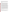install a technology on an appropriate fleet. Through the installation of this emerging technology, the eligible entity will assist the manufacturer with its development by providing the means to capture real world data and gain valuable operating experience with this new technology. The experience gained by the manufacturer here will lead to the commercialization of the emerging technology.

### **B. Scope of Work**

As part of The National Diesel Emissions Reduction Program, the Clean Diesel Emerging Technologies Program addresses pollution from heavy duty diesel vehicles and equipment that are currently used for either onroad or nonroad<sup>1</sup> applications. Eligible vehicles, engines and equipment may include but are not limited to: buses; medium-duty or heavy-duty trucks; marine engines; locomotives; and nonroad engines or vehicles used in: i) construction; ii) handling or cargo (including at a port or airport); iii) agriculture; iv) mining; or v) energy production<sup>[2](#page-3-1)</sup>.

Section 792 (b)(3)(B) of EPAct 2005 requires that to receive funds under the Emerging Technologies Provisions, a manufacturer, in consultation with an eligible entity, shall submit for verification to the Administrator of EPA or the CARB a test plan for the emerging technology, together with the application. Eligible entities, as defined in section III, shall submit an application for funding assistance and approvable test plan that discusses how the eligible entity, in consultation with the manufacturer of an emerging technology, will assist in the development and commercialization of that technology. Only technologies listed on the Emerging Technologies List may be used under this RFP. Eligible entities must submit a copy of the approved test plan that is on file for verification. The manufacturer may supply a copy of that test plan to the eligible entity.

Eligible entities, in consultation with the technology manufacturer, may propose to conduct testing that will further support the development and in-use operation of emerging technologies. Such test programs may include additional data logging and monitoring of device operation. Additionally periodically measuring emissions with a portable emission measurement system (PEMS) to document emission reduction durability could be proposed to help support verification. All costs associated with testing (and proposed matching funding) must be fully described in the proposal, and the level of funding awarded for testing will be considered in the project eligibility and ranking. The costs of testing will be included in determining the overall cost effectiveness of the project.

Once a technology is selected for use on a cooperative agreement resulting from this announcement, the technology may be used for the entire grant period. Should a technology be removed from the Emerging Technologies list without receiving verification status, that technology is no longer eligible for use on any cooperative agreement.

Eligible entities may not pay a subsidy to a manufacturer of an emerging technology in the form of a subaward.

 $\overline{a}$ 

<span id="page-3-0"></span><sup>1</sup> Highway sources include vehicles used on roads for transportation of passengers and freight. These sources are also sometimes referred to as onroad sources. Nonroad sources include vehicles, engines, and equipment used for construction, agriculture, nonroad transportation, recreation, and other purposes. These sources are also sometimes referred to as off-road sources. Within these broad categories, highway and nonroad sources are further distinguished by size, weight, use and/or horsepower.

<span id="page-3-1"></span><sup>2</sup> Eligible nonroad engines used for energy production include, but are not limited to, stationary generators and pumps.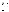In addition to the information described in the Diesel Emissions Reduction Proposal Area listed below, all eligible entities must describe how the proposed project(s) addresses the following programmatic priorities:

- i. Maximize public health benefits;
- ii. Are the most cost-effective;
- iii. Serve areas with high population density; that are poor air quality areas (including nonattainment or maintenance of national ambient air quality standards for a criteria pollutant; Federal Class I areas; or areas with toxic air pollutant concerns); that receive a disproportionate quantity of air pollution from diesel fleets, including truck stops, ports, rail yards, terminals, and distribution centers; or that use a community-based multi-stakeholder collaborative process to reduce toxic emissions;
- iv. Include an emerging technology that has a long expected useful life;
- v. Will maximize the useful life of any emerging technology used or funded by the eligible entity;
- vi. Conserve diesel fuel; and
- vii. Utilize ultra low sulfur diesel fuel (15 parts per million of sulfur content) ahead of EPA's mandate (for nonroad projects).

# Diesel Emissions Reduction Proposal Area

*Emerging Diesel Emissions Reduction Technologies*: An emerging technology is defined as a technology that has not been previously certified or verified by EPA or the California Air Resources Board (CARB) but for which an approvable application and test plan has been submitted for verification. An emerging technology is a device or strategy that reduces emissions such as particulate matter, nitrogen oxides, and other air toxics, from diesel engines or diesel engine powered vehicles or equipment. EPA will list all eligible emerging technologies on EPA's website at <http://www.epa.gov/cleandiesel/prgemerglist.htm>. Only technologies on the Emerging Technology List can qualify for use under this RFP.

Two examples of an emerging technology are a hydraulic hybrid system used in "stop and go" operations or a selective catalytic reduction (SCR) system used in a marine or locomotive application. These are only examples however, and will not be considered emerging technologies without an approvable test plan and application.

# **C. EPA's Strategic Plan Linkage and Anticipated Outcomes/Outputs**

# **1. Linkage to EPA Strategic Plan**

All proposals must support Goal 1 of EPA's 2003-2008 Strategic Plan, Clean Air and Global Climate Change; Objective 1.1: Healthier Outdoor Air, which states, "Through 2010…[EPA will]…protect human health and the environment by attaining and maintaining health-based airquality standards and reducing the risk from toxic air pollutants."

(http://[www.epa.gov/ocfo/plan/2003sp.pdf\)](http://www.epa.gov/ocfo/plan/2003sp.pdf). Projects funded under this RFP must reduce emissions from diesel fleets, thereby reducing local and regional air pollution.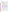## **2. Outputs:**

The term "output" means an environmental activity, effort and/or associated products related to an environmental goal and objective that will be produced or provided over a period of time or by a specified date. Outputs may be quantitative or qualitative but must be measurable during an assistance agreement funding period. Proposals must include a description of how assistance agreement recipients will track and measure progress towards the environmental goal throughout the assistance agreement period.

- Expected **outputs** from the projects to be funded under this solicitation may include but are not limited to the following:
	- 1. number of retrofitted engines/vehicles/equipment,
	- 2. pounds or tons of fine particulate matter (PM2.5), nitrogen oxides (NOx), greenhouse gases (GHG) and/or volatile organic compound (VOCs) reduced, fuel saved, cost effectiveness of project (in  $\frac{\pi}{3}$  /ton or  $\frac{\pi}{3}$ ).
	- 3. health benefits achieved (health benefits may be measured by numbers of illnesses, health care costs, or missed work/school days avoided),

To estimate some of the anticipated outputs of your proposal, (e.g. pollution reduced), EPA encourages you to use the Diesel Emissions Quantifier (Quantifier) found at http://cfpub.epa.gov/quantifier/view/index.cfm. Because an emerging technology is not verified, the technology is not listed as an option in the Quantifier. The eligible entity may still use the Quantifier by selecting "Emission Control Device" from the Technology Type dropdown menu, next selecting "Other Emission Control Devices" from the Technology dropdown menu and finally inputting the estimated percent reductions received from the manufacturer in the appropriate fields. Another tool is the National Mobile Inventory Model (<http://www.epa.gov/otaq/nmim.htm>). This tool must be used for State Implementation Plan calculations. For technical assistance regarding the Diesel Emissions Quantifier, please email [cleandiesel@epa.gov.](mailto:cleandiesel@epa.gov) For technical assistance regarding the National Mobile Inventory model, please email [mobile@epa.gov](mailto:mobile@epa.gov).

If you are unable to use these models, please describe your methodology for estimating or determining outputs in detail. Emission reduction estimates and measurements should be based on demonstrated emissions reductions in accordance with good engineering judgment, peer reviewed technical papers and EPA or CARB projected performance.

# **3. Outcomes:**

The term "outcome" means the result, effect or consequence that will occur from carrying out an environmental program or activity that is related to an environmental or programmatic goal or objective. Outcomes may be environmental, behavioral, health-related or programmatic in nature, but must be quantitative. They may not necessarily be achievable within an assistance agreement funding period. Proposals must include a description of project outcomes resulting from the project outputs.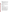Expected **outcomes** from projects funded under this solicitation may include but are not limited to the following:

- **Short-term outcomes** such as increased understanding of the environmental or economic effectiveness of the implemented technology; dissemination of the increased knowledge via listserves, websites, journals, and outreach events.
- **Medium-term outcomes** such as adoption of the implemented technology; documented emissions reductions from these and other sources of diesel emissions in multiple states.
- **Long-term outcomes** such as reductions in the number of children with asthma or documented improved ambient air quality.

Projects funded under this RFP must achieve significant reductions in diesel emissions in terms  $of$ —(1) tons of pollution reduced; and (2) diesel emissions exposure, particularly from fleets operating in areas designated by the Administrator as poor air quality areas.

## **D. Supplementary Information**

The EPAct of 2005 provides new diesel emissions reduction grant authority for EPA and authorizes an annual appropriation of up to \$200,000,000 under the Diesel Emissions Reduction portion of the legislation for each of fiscal years 2007 through 2011 to remain available until expended.

# **II. AWARD INFORMATION**

## **A. What is the amount of funding available?**

The total estimated funding expected to be available for awards under this competitive announcement is approximately \$3 million.

## **B. Partial Funding.**

In appropriate circumstances, EPA reserves the right to partially fund proposals by funding discrete portions or phases of proposed projects. If EPA decides to partially fund a proposal, it will do so in a manner that does not prejudice any applicants or affect the basis upon which the proposal, or portion thereof, was evaluated and selected for award, and therefore maintains the integrity of the competition and selection process.

# **C. How many agreements will EPA award in this competition?**

EPA anticipates awarding a total of approximately 2-5 cooperative agreements under this announcement ranging in value from approximately \$200,000 - \$1,000,000 subject to the availability of funds and quality of evaluated proposals. In addition, EPA reserves the right to make additional awards under this announcement, consistent with Agency policy, if additional funding becomes available after the original selections. Any additional selections for awards will be made no later than six months from the date of original selection date.

# **D. What is the project period for awards resulting from this solicitation?**

The estimated project period for awards resulting from this solicitation will begin in December 2008. The cooperative agreements funded under this program will have a 2-year project period. It is expected that projects will be completed by December 2010.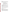## **E. Funding Type.**

The funding for selected projects will be in the form of a cooperative agreement. Cooperative agreements permit substantial involvement between the EPA project officer and the selected applicants in the performance of the work supported. Although EPA will negotiate precise terms and conditions relating to substantial involvement as part of the award process, the anticipated substantial Federal involvement for this project will be:

- close monitoring of the successful applicant's performance to verify the results proposed by the applicant;
- collaboration during performance of the scope of work;
- approving substantive terms of proposed contracts;
- approving qualifications of key personnel (EPA will not select employees or contractors employed by the award recipient);
- reviewing and commenting on reports prepared under the cooperative agreement (the final decision on the content of reports rests with the recipient).

# **F. Are there any other funding restrictions or requirements?**

Funds may only be used for the purposes set forth in the cooperative agreement, and must be consistent with the statutory authority for the award. Cooperative agreement funds may not be used for matching funds for other federal grants, lobbying, or intervention in Federal regulatory or adjudicatory proceedings, and may not be used to sue the Federal government or any other government entity.

Pursuant to Section 792(d)(2) of the EPAct of 2005, no funds awarded under this solicitation shall be used to fund the costs of emissions reductions that are mandated under Federal, State or local law. Voluntary or elective emission reduction measures shall not be considered "mandated", regardless of whether the reductions are included in the State Implementation Plan of a State.

Projects using certified engine configurations or fully verified technologies included on EPA or CARB's verified technology list may not be funded through this RFP.

## **Fueling infrastructure costs are not eligible for funding**.

# **III. ELIGIBILITY INFORMATION**

# **A. Eligible Entities**

Under this solicitation, only the following entities are eligible to apply for assistance, in accordance with Section 791(3) and 792(a) of the EPAct 2005: A) a regional, State, local, or tribal agency or port authority with jurisdiction over transportation or air quality; and B) a nonprofit organization or institution that**–** 1) represents or provides pollution reduction or educational services to persons or organizations that own or operate diesel fleets; or 2) has, as its principal purpose, the promotion of transportation or air quality. City, county, or municipal agencies, school districts, and metropolitan planning organizations (MPOs) that have jurisdiction over transportation or air quality are all eligible entities under this program.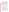### **B. Cost-Share or Matching**

There is no requirement for a matching contribution from applicants. However, EPA encourages the use of leveraged funds to enhance and expand the project and proposals that leverage resources beyond EPA's funding may receive additional points during the evaluation process. Leveraged funding or other resources need not be for eligible and allowable project costs under the EPA assistance agreement unless the Applicant proposes to provide a voluntary cost share or match. If EPA accepts an offer for a voluntary cost share/match/participation, applicants must meet their matching/sharing/participation commitment as a condition of receiving EPA funding. Applicants may use their own funds or other resources for voluntary match/cost share/participation if the standards at 40 CFR 30.23 or 40 CFR 31.24, as applicable, are met. Only eligible and allowable costs may be used for voluntary matches/cost shares/participation. Other Federal grants may not be used as voluntary matches or cost shares without specific statutory authority (e.g. HUD's Community Development Block Grants).

## **C. Threshold Eligibility Criteria**

These are requirements that if not met by the time of proposal submission will results in elimination of the proposal from consideration for funding. Only proposals from eligible entities (see above) that meet all of these criteria will be evaluated against the ranking factors in Section V of the announcement. Applicants deemed ineligible for funding consideration as a result of the threshold eligibility review will be notified within 15 calendar days of the ineligibility determination.

1. Proposals must support Goal 1 of EPA's 2003-2008 Strategic Plan, *Clean Air and Global Climate Change; Objective 1.1: Healthier Outdoor Air* by reducing diesel emissions.

2. a. Proposals must substantially comply with the proposal submission instructions and requirements set forth in Section IV of this announcement or else they will be rejected. However, where a page limit is expressed in Section IV with respect to the narrative proposal, pages in excess of the page limitation will not be reviewed.

b. In addition, proposals must be received by EPA or received through [www.grants.gov,](http://www.grants.gov_/) as specified in Section IV of this announcement, on or before the proposal submission deadline published in Section IV of this announcement. Applicants are responsible for ensuring that their proposal reaches the designated person/office specified in Section IV of the announcement by the submission deadline.

c. Proposals received after the submission deadline will be considered late and returned to the sender without further consideration unless the applicant can clearly demonstrate that it was late due to EPA mishandling. For hard copy submissions, where Section IV requires proposal receipt by a specific person/office by the submission deadline, receipt by an agency mailroom is not sufficient. Applicants should confirm receipt of their proposal with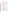3. Proposals in which applicant is requesting assistance funded in excess of \$3 million will not be reviewed.

4. Fully verified technologies included on EPA or CARB's verified technology list may not be used in projects funded through this RFP and any such proposals will be rejected.

5. Projects must be for emerging technologies as described in Section I.

6. Proposals in which the applicant does not consult with a manufacturer of an emerging technology will not be reviewed. The applicant must consult with a manufacturer of an emerging technology to receive funds under this Clean Diesel Emerging Technologies Program.

7. Applicants must submit a copy of the approved test plan (that a manufacturer has submitted for verification to EPA or CARB) together with the application.

8. Proposals in which a technology not on the Emerging Technology List is proposed will not be reviewed.

# **IV. PROPOSAL AND SUBMISSION INFORMATION**

# **A. How to Obtain Application Package**

EPA encourages applicants to obtain proposal materials and apply electronically through [http://www.grants.gov](http://www.grants.gov/).

Applicants may also download individual grant application forms from EPA's Office of Grants and Debarment website at: [http://www.epa.gov/ogd/grants/how\\_to\\_apply.htm](http://www.epa.gov/ogd/grants/how_to_apply.htm).

To obtain a hard copy of materials, please send an email or written request to the Agency contact listed in Section VII of this announcement.

# **B. Form of Proposal Submission**

Applicants have the option to submit their proposals in *one of two ways*: 1) Electronically through the www.grants.gov website, or 2) hard copy by express delivery service, hand delivery or U.S. Postal Service. All proposals must be prepared, and include the information as described in Section IV.C below, regardless of mode of transmission.

# **1. Hard Copy Submission**

Because of the unique situation involving U.S. mail screening, **EPA highly recommends that applicants use an express mail option to submit their proposal packages** (SF 424, SF 424A, Narrative Proposal and Applicant Fleet Description Spreadsheet). Please provide one original of the proposal package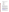(including signed and completed SF 424 and SF 424A forms) --**no binders or spiral binding**--to:

#### **Express and Hand Delivery Address (FedEx, UPS, DHL, etc.)**

U.S. Environmental Protection Agency ATTN: Jennifer Went 1310 L St. NW (Room 347F) Washington, DC 20005

#### **U.S. Mail Address**

U.S. Environmental Protection Agency Office of Transportation and Air Quality ATTN: Jennifer Went MAIL CODE: 6405J 1200 Pennsylvania Ave, NW Washington DC 20460

#### **2. Electronic Submission (www.Grants.gov)**

The electronic submission of your proposal must be made by an official representative of your institution who is registered with Grants.gov and is authorized to sign applications for Federal assistance. For more information, go to [http://www.grants.gov](http://www.grants.gov/) and click on "Get Registered" on the left side of the page. **\*Registration process may take a week or longer to complete***.* If your organization is not currently registered with www.grants.gov, please encourage your office to designate an authorized representative (AOR) and ask that individual to begin the registration process as soon as possible.

To begin the proposal process under this grant announcement, go to [http://www.grants.gov](http://www.grants.gov_/) and click on the "Apply for Grants" tab on the left side of the page. Then click on "Apply Step 1: Download a Grant Application Package" to download the compatible Adobe viewer and obtain the application package. **To apply through www.grants.gov you must use Adobe Reader applications and download the compatible Adobe Reader version [\(Adobe Reader](http://grants.gov/help/download_software.jsp__) applications are available to download for free on the www.grants.gov website. For more information on Adobe Reader please visit the [Help section](http://grants.gov/help/help.jsp__) on grants.gov at <http://www.grants.gov/help/help.jsp>or [http://www.grants.gov/aboutgrants/program\\_status.jsp](http://www.grants.gov/aboutgrants/program_status.jsp)).** 

Once you have downloaded the viewer, you may retrieve the application package by entering the Funding Opportunity Number EPA-OAR-OTAQ-08-06, or the CFDA number that applies to the announcement (CFDA 66.039), in the appropriate field. You may also be able to access the proposal package by clicking on the Application button at the top right of the synopsis page for this announcement on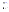http://www.grants.gov (to find the synopsis page, go to http://www.grants.gov and click on the "Find Grant Opportunities" button on the left side of the page and then go to Search Opportunities and use the Browse by Agency feature to find EPA opportunities).

 If you have any questions regarding use of www.grants.gov, please email the www.grants.gov Contact Center at **<http://www.grants.gov/help/help.jsp>** or call 1- 800-518-4726.

#### **Grants.gov Proposal Submission Deadline**

Your organization's AOR (Authorized Representative) *must* submit your complete proposal package as described below, electronically to EPA through www.grants.gov ([http://www.grants.gov](http://www.grants.gov/)) no later than **11:59 p.m. EST on September 21, 2008.**

#### **Proposal Materials**

#### **The following forms and documents are required to be submitted under this announcement:**

- I. Application for Federal Assistance (SF-424)
- II. Budget Information for Non-Construction Programs (SF-424A)
- III. Narrative Proposal (as described in Section IV.C. of the announcement)
- IV. Applicant Fleet Description Spreadsheet (as described below)
- V. Test Plan for the Emerging Technology

The proposal package *must* include all of the following materials:

### **I. Standard Form (SF) 424 – Application for Federal Assistance**

Complete the form. There are no attachments. Please be sure to include an organization fax number and email address in Block 5 of the Standard Form SF 424 and also ensure that it is signed and dated.

Please note that the organizational Dun and Bradstreet (D&B) Data Universal Number System (DUNS) number must be included on the SF-424. Organizations may obtain a DUNS number at no cost by calling the toll-free DUNS number request line at 1-866-705-5711.

#### **II. Standard Form SF 424A – Budget Information**

Complete the form. There are no attachments.

The total amount of federal funding requested for the project period should be shown on line  $5(e)$  and on line  $6(k)$  in column 1 of SF-424A, the amount of indirect costs should be entered on line 6(j). The indirect cost rate (i.e., a percentage), the indirect cost rate base (e.g., personnel costs and fringe benefits), and the indirect cost amount itself should also be indicated on line 22.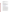**\*If selected for award, applicant(s) will be required to submit documentation of their current indirect cost rate that has been negotiated with a cognizant Federal agency.** 

#### **III. Narrative Proposal**

*The document should be readable in PDF or MS Word and consolidated into a single file and be prepared in accordance with Section IV of the announcement.* 

### **IV. Applicant Fleet Description Spreadsheet**

The Applicant Fleet Description Spreadsheet is an excel file. It is divided into three sections: Company and Project Manager Information, Project Information, and Fleet Information. The purpose of this spreadsheet is to organize and summarize details of the project including specifics about engines, vehicles and/or equipment. For directions on filling out the spreadsheet, read the section titled "READ ME" which is located on the first tab of the excel file. It can be downloaded from the following website [http://www.epa.gov/cleandiesel/grantfund.htm.](http://www.epa.gov/cleandiesel/grantfund.htm)

### **V. Test Plan for the Emerging Technology**

*The document should be readable in PDF or MS.*

**\*\*Documents I through III** listed under Proposal Materials above should appear in the "Mandatory Documents" box on the www.grants.gov Grant Application Package page. For Document IV see below.

For documents I and II, click on the appropriate form and then click "Open Form" below the box. The fields that must be completed will be highlighted in yellow. Optional fields and completed fields will be displayed in white. If you enter an invalid response or incomplete information in a field, you will receive an error message. When you have finished filling out each form, click "Save." When you return to the electronic Grant Application Package page, click on the form you just completed, and then click on the box that says, "Move Form to Submission List." This action will move the document over to the box that says, "Mandatory Completed Documents for Submission."

For document number III, the Narrative Proposal, and document numbers IV and V, the Applicant Fleet Description Spreadsheet and Test Plan for the Emerging Technology, you will need to attach electronic files. Prepare your narrative proposal as described above in Section IV.C of this announcement and save the document to your computer as an MS Word, PDF or WordPerfect file. Prepare your Applicant Fleet Description Spreadsheet as described above and save the document as a Microsoft Excel or Lotus 123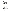document. When you are ready to attach the narrative proposal to the application package, click on "Project Narrative Attachment Form," and open the form. Click "Add Mandatory Project Narrative File," and then attach your narrative proposal (previously saved to your computer) using the browse window that appears. You may then click "View Mandatory Project Narrative File" to view it. Enter a brief descriptive title of your project in the space beside "Mandatory Project Narrative File Filename;" the file name should be no more than 40 characters long. To attach the Applicant Fleet Description Spreadsheet and Test Plan for the Emerging Technology, click "Add Optional Project Narrative File" and proceed as before. If there are other attachments that you would like to submit to accompany your proposal, you may click "Add Optional Project Narrative File" and proceed as before. When you have finished attaching the necessary documents, click "Close Form." When you return to the "Grant Application Package" page, select the "Project Narrative Attachment Form" and click "Move Form to Submission List." The form should now appear in the box that says, "Mandatory Completed Documents for Submission."

Once your proposal package has been completed and saved, send it to your Authorized Representative (AOR) for submission to U.S. EPA through www.grants.gov. Please advise your AOR to close all other software programs before attempting to submit the application package through Grants.gov.

In the "Application Filing Name" box, your AOR should enter your organization's name (abbreviate where possible), the fiscal year (e.g., FY08), and the grant category. The filing name should not exceed 40 characters. From the "Grant Application Package" page, your AOR may submit the application package by clicking the "Submit" button that appears at the top of the page. The AOR will then be asked to verify the agency and funding opportunity number for which the application package is being submitted. If problems are encountered during the submission process, the AOR should reboot his/her computer before trying to submit the application package again. [It may be necessary to turn off the computer (not just restart it) before attempting to submit the package again.] If the AOR continues to experience submission problems, he/she may contact Grants.gov for assistance by phone at 1-800-518-4726 or email at [http://www.grants.gov/help/help.jsp.](http://www.grants.gov/help/help.jsp)

Proposal packages submitted thru www.grants.gov will be time/date stamped electronically.

#### **C. Content of Proposal Submission**

All proposal submissions, regardless of mode of transmission, must contain a completed and signed SF-424, Application for Federal Assistance, a completed SF-424A, Budget Information—Non-Construction Programs, a Narrative Proposal and an Applicant Fleet Description Spreadsheet.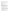## **Narrative Proposal**

The Narrative Proposal (1-3 below) cannot exceed a maximum of 10 single-spaced typewritten pages, including the Summary Page. Pages in excess of 10 will not be considered. Supporting materials, such as resumes and letters of support, can be submitted as attachments and are not included in the 10-page limit. The Applicant Fleet Description Spreadsheet and Test Plan for the Emerging Technology are also not included in the page limit.

## **1. Summary Page**

### a. Project Title

b. Applicant Information. Include applicant (organization) name, address, contact person, phone number, fax and e-mail address.

c. Funding Requested. Specify the amount you are requesting from EPA.

d. Total Project Cost. Specify total cost of the project. Identify funding from other sources, including cost share or in-kind resources.

e. Project period. Provide beginning and ending dates.

### **2. Narrative Work Plan**

**\*\*The Narrative must explicitly describe how the proposed project meets the guidelines established in Sections I-III (including the threshold eligibility criteria in Section III.C) of this announcement, and address each of the evaluation criteria set forth in Section V.** 

The Work Plan must include the following:

### **a. Project Summary/Approach: This section shall contain the following components:**

- i. A description of the air quality of the area served by the eligible entity;
- ii. The quantity of air pollution produced by the diesel fleets in the area served by the eligible entity;
- iii. A project description, including:
	- a. All emerging technologies proposed to be used or funded by the eligible entity; and b. The means by which the project will achieve a significant reduction in diesel emissions;
- iv. An evaluation of the quantifiable and unquantifiable benefits of the emissions reductions of the proposed project (applicants can use the Diesel Emissions Quantifier tool found at the National Clean Diesel Campaign website at: http://cfpub.epa.gov/quantifier/view/index.cfm);
- v. An estimate of proposed project costs and the cost-effectiveness of emission reductions (dollar/ton reduction);
- vi. A description of the age and expected lifetime control of the equipment used or funded by the eligible entity;
- vii. A description of the diesel fuel available in the areas to be served by the eligible entity, including the sulfur content of the fuel;
- vii. Provisions for the monitoring and reporting of the project;
- viii. Information on project partners and their various roles, and leveraged resources;
- ix. Information on the sustainability of the project beyond the assistance agreement period; and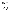## **b. Programmatic Priorities**

Please address how the project meets the programmatic priorities listed below.

i. Maximize public health benefits;

ii. Are the most cost-effective;

iii. Serve in areas with high population density; that are poor air quality areas (including nonattainment or maintenance of national ambient air quality standards for a criteria pollutant; Federal Class I areas; or areas with toxic air pollutant concerns); that receive a disproportionate quantity of air pollution from diesel fleets, including truck stops, ports, rail yards, terminals, and distribution centers; or that use a community-based multi-stakeholder collaborative process to reduce toxic emissions;

v. Include a retrofitted vehicle or equipment with an emerging technology that has a long expected useful life;

vi. Will maximize the useful life of any emerging technology used or funded by the eligible entity;

vii. Conserve diesel fuel; and

viii. Utilize ultra low sulfur diesel fuel (15 parts per million of sulfur content) ahead of EPA's mandate (for nonroad projects).

### **c. Past Performance**

- i. **Programmatic Capability:** Submit a list federally funded assistance agreements (an assistance agreement is a grant or cooperative agreement and not a contract) similar in size, scope and relevance to the proposed project that your organization performed within the last three years (no more than 5 agreements, and preferably EPA agreements) and describe (i) whether, and how, you were able to successfully complete and manage those agreements and (ii) your history of meeting the reporting requirements under those agreements including submitting acceptable final technical reports. In evaluating applicants under these factors in Section V, EPA will consider the information provided by the applicant and may also consider relevant information from other sources, including information from EPA files and from current and prior Federal agency grantors (e.g., to verify and/or supplement the information provided by the applicant). If you do not have any relevant or available past performance or reporting information, please indicate this in the proposal and you will receive a neutral score for this factor under Section V. In addition, provide information on your organizational experience and plan for timely and successfully achieving the objectives of the proposed project, and your staff expertise/qualification, staff knowledge, and resources or the ability to obtain them, to successfully achieve the goals of the proposed project.
- ii. **Reporting on Environmental Results--Outcomes and Outputs:** Submit a list federally funded assistance agreements (an assistance agreement is a grant or cooperative agreement and not a contract) that your organization performed within the last three years (no more than 5 agreements, and preferably EPA agreements), and describe how you documented and/or reported on whether you were making progress towards achieving the expected results (e.g., outputs and outcomes) under those agreements. If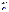you were not making progress, please indicate whether, and how, you documented why not. In evaluating applicants under this factor in Section V, EPA will consider the information provided by the applicant and may also consider relevant information from other sources, including information from EPA files and from current and prior Federal agency grantors (e.g., to verify and/or supplement the information provided by the applicant). If you do not have any relevant or available environmental results past performance information, please indicate this in the proposal and you will receive a neutral score for this factor under Section V.

### **d. Environmental Results—Outcomes and Outputs**

Identify the expected quantitative and qualitative outcomes of the project (See Section I), including what measurements will be used to track your progress towards achieving the outcomes and how the results of the project will be evaluated. Identify the expected project outputs and how progress towards achieving the outputs will be tracked and measured.

### **3. Detailed Budget Narrative**

In addition to the SF 424A, please provide specified total costs of the project.

Management Fees: When formulating budgets for proposals/applications, applicants must not include management fees or similar charges in excess of the direct costs and indirect costs at the rate approved by the applicant's cognizant Federal audit agency, or at the rate provided for by the terms of the agreement negotiated with EPA. The term "management fees or similar charges" refers to expenses added to the direct costs in order to accumulate and reserve funds for ongoing business expenses, unforeseen liabilities, or for other similar costs that are not allowable under EPA assistance agreements. Management fees or similar charges may not be used to improve or expand the project funded under this agreement, except to the extent authorized as a direct cost of carrying out the work plan.

### **4. Applicant Fleet Description Spreadsheet. This is not included in the 10-page limit.**

The Applicant Fleet Description Spreadsheet is an excel file. It is divided into three sections: Company and Project Manager Information, Project Information, and Fleet Information. The purpose of this spreadsheet is to organize and summarize details of the project including specifics about engines, vehicles and/or equipment. For directions on filling out the spreadsheet, read the section titled "READ ME" which is located on the first tab of the excel file. It can be downloaded from the following website [http://www.epa.gov/cleandiesel/grantfund.htm.](http://www.epa.gov/cleandiesel/grantfund.htm)

### **5. Optional Attachments. These are not included in the 10-page limit.**

a. Resumes. Provide resumes or curriculum vitae for all principal investigators and any other key personnel.

b. Support Letters. Specifically indicate how supporting organizations will assist in the project.

### **D. Contracts and Subawards/Subgrants**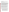### **1. Can funding be used for the applicant to make subawards/subgrants, acquire contract services, or fund partnerships?**

EPA awards funds to one eligible applicant as the recipient even if other eligible entities are named as partners or co-applicants or members of a "coalition" or "consortium." The recipient is accountable to EPA for the proper expenditure of funds.

If successful applicants intend to use EPA grant funds to purchase goods or services under the grant, such applicants must compete the contracts for those goods and services and conduct cost and price analyses to the extent required by the procurement provisions of 40 CFR Part 30 or 31, as appropriate. The regulations also contain limitations on consultant compensation. **While applicants are not required to identify contractors or consultants in their proposal if they do so it does not relieve the applicant of its obligations to comply with competitive procurement requirements, nor does it guarantee that costs incurred for such contractor/consultant will be eligible under the grant/cooperative agreement**. **This provision does not affect consultation with manufacturers as mandated by DERA Section 792(b)(3)(B)(ii), provided that there is no transfer of funds between the eligible entity and the manufacturer.** Please note that applicants may not award sole source contracts to consulting, engineering or other firms assisting applicants with the proposal based solely on the firm's role in preparing the proposal.

Successful applicants may award subgrants (also referred to as subawards) of financial assistance to fund partnerships under the EPA grant provided the recipient complies with applicable requirements for subgrants/subawards including those contained in 40 CFR Parts 30 or 31, as appropriate. Subgrants/subawards do not have to be competed; **however, successful applicants cannot use subgrants/subawards to avoid requirements in EPA grant regulations for competitive procurement by using subgrants/subawards to acquire commercial services or products from for-profit organizations.** EPA will not be a party to subgrant/subaward agreements.

## **2. How will an applicant's proposed subawardees/subgrantees and contractors be considered during the evaluation process described in Section V of the announcement?**

Section V of the announcement describes the evaluation criteria and evaluation process that will be used by EPA to make selections under this announcement. During this evaluation, except for those criteria that relate to the applicant's own qualifications, past performance, and reporting history, the review panel will consider, as appropriate and relevant, the qualifications, expertise, and experience of:

- (i) an applicant's named subawardees/subgrantees identified in the proposal if the applicant demonstrates in the proposal that if it receives an award that the subaward/subgrant will be properly awarded consistent with the applicable regulations in 40 CFR Parts 30 or 31. For example, applicants must not use subawards/subgrants to obtain commercial services or products from for profit firms or individual consultants;
- (ii) an applicant's named contractor(s), including consultants, identified in the proposal if the applicant demonstrates in its proposal that the contractor(s) was selected in compliance with the competitive Procurement Standards in 40 CFR Part 30 or 40 CFR 31.36 as appropriate. For example, an applicant must demonstrate that it selected the contractor(s) competitively or that a proper noncompetitive sole-source award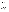consistent with the regulations will be made to the contractor(s), that efforts were made to provide small and disadvantaged businesses with opportunities to compete, and that some form of cost or price analysis was conducted. EPA may not accept sole source justifications for contracts for services or products that are otherwise readily available in the commercial marketplace.

EPA will not consider the qualifications, experience, and expertise of named subawardees/subgrantees and/or named contractor(s) during the proposal evaluation process unless the applicant complies with these requirements.

### **E. Submission Dates and Time**

The deadline for receipt of hard copy proposal packages is **September 21, 2008, 4:00 PM Eastern Standard Time.** All hard copies of proposal packages must be received by Jennifer Went, **4:00 PM, Eastern Standard Time** on **September 21, 2008** in order to be considered for funding. Electronic submissions must be submitted via Grants.gov by **September 21, 2008, 11:59 p.m., Eastern Standard Time.** Proposals received after the closing date and time will not be considered for funding.

A final (full) application will be requested only from the eligible entity whose proposal has been preliminarily recommended for award. Additional instructions for final application packages, including requirements for providing any additional information required by law, will be provided when the applicant is notified of the tentative selection.

## **F. Confidential Business Information**

It is recommended that confidential business information ("CBI") **not** be included in your proposal/application. However, if CBI is included in your proposal/application, it will be handled in accordance with 40 CFR Part 2.203. Applicants must clearly indicate which portion(s) of their proposal/application they are claiming as CBI. EPA will evaluate such claims in accordance with 40 CFR Part 2. If no claim of confidentiality is made, EPA is not required to make the inquiry to the applicant which is otherwise required by 40 CFR Part 2.204(2) prior to disclosure. Note that under 40 CFR 30.36, data produced under an award is subject to the Freedom of Information Act.

## **G. Pre-Proposal Assistance and Communications**

In accordance with EPA's Assistance Agreement Competition Policy (EPA Order 5700.5A1), EPA staff will not meet with individual applicants to discuss draft proposals, provide informal comments on draft proposals, or provide advice to applicants on how to respond to ranking criteria. Applicants are responsible for the content of their proposals.

EPA will respond to questions in writing from individual applicants regarding threshold eligibility criteria, administrative issues related to the submission of the proposal, and requests for clarification about the announcement. Please submit written questions to Jennifer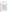Went at [went.jennifer@epa.gov](mailto:went.jennifer@epa.gov). Please type "Diesel RFP Question" in the subject line of your email.

## **V. PROPOSAL REVIEW INFORMATION**

Only those proposals that meet the threshold criteria in Section III will be evaluated according to the criteria set forth below. Applicants should directly and explicitly address these criteria as part of their proposal submittal. Each proposal will be rated under a points system, with a total of 100 points possible.

# **A. Evaluation Criteria**

| <b>Criteria</b>                                                                            | <b>Points</b> |
|--------------------------------------------------------------------------------------------|---------------|
| 1. Project Summary/Approach: Under this criterion, the Agency will evaluate                |               |
| the following factors: (i) $(15 \text{ pts})$ the extent and quality to which the proposal |               |
| narrative includes a well-conceived strategy for addressing the requirements in            |               |
| Section I and the Project Summary/Approach requirements in Section IV; (ii)                | 25            |
| (10 pts) the extent and quality to which the proposal includes a well-conceived,           |               |
| logical strategy for achieving – by the project end date – the anticipated                 |               |
| environmental results associated with the proposed project.                                |               |
| 2. Programmatic Priorities: Under this criterion, the Agency will evaluate the             |               |
| extent and quality to which the proposed project addresses the programmatic                | 10            |
| priorities stated in Section I and Section IV (Narrative Proposal).                        |               |
| 3. Past Performance--Programmatic Capability and Reporting on                              |               |
| <b>Environmental Results:</b> Under this criterion, the Agency will evaluate the           |               |
| applicant's technical ability to successfully complete and manage the proposed             |               |
| project taking into account the following factors: (i) (5 pts) the applicant's past        |               |
| performance in successfully completing and managing federally funded                       |               |
| assistance agreements (assistance agreements include Federal grants and                    |               |
| cooperative agreements but not Federal contracts) similar in size, scope and               | 10            |
| relevance to the proposed project performed within the last 3 years, (ii) (3 pts)          |               |
| the applicant's history of meeting reporting requirements on federally funded              |               |
| assistance agreements (assistance agreements include Federal grants and                    |               |
| cooperative agreements but not Federal contracts) similar in size, scope, and              |               |
| relevance to the proposed project performed within the last 3 years and                    |               |
| submitting acceptable final technical reports under those agreements, and (iii) (2)        |               |
| pts) the applicant's past performance in documenting and/or reporting on                   |               |
| progress towards achieving the expected outcomes and outputs (e.g., results)               |               |
| under federally funded assistance agreements (assistance agreements include                |               |
| Federal grants and cooperative agreements but not Federal contracts)                       |               |
| within the last 3 years; and, if such progress was not made whether the                    |               |
| documentation and/or reports satisfactorily explained why not. In evaluating               |               |
| applicants under these factors in Section V, EPA will consider the information             |               |
| provided by the applicant and may also consider relevant information from other            |               |
| sources, including information from EPA files and from current and prior                   |               |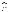| Federal agency grantors (e.g., to verify and/or supplement the information          |    |
|-------------------------------------------------------------------------------------|----|
| provided by the applicant). If you do not have any relevant or available past       |    |
| performance or reporting information, please indicate this in the proposal and      |    |
| you will receive a neutral score for those elements under this factor.              |    |
| 4. Environmental Results - Outcomes and Outputs: Under this criterion, the          |    |
| Agency will evaluate the effectiveness of the applicant's plan for tracking and     |    |
| measuring its progress toward achieving expected project outputs and outcomes,      | 15 |
| including those identified in Section I of this announcement.                       |    |
| <b>5. Budget/Resources: (i) (5 pts)</b> Whether the proposed project budget is      |    |
| appropriate to accomplish the proposed goals, objectives, and measurable            |    |
| environmental outcomes, (ii) (5 pts) whether the budget provides an                 | 10 |
| approximation of the percentage of the budget designated for each major             |    |
| activity.                                                                           |    |
| 6. Clear Description of the Target Fleet: (10 pts) Under this criterion,            |    |
| applicants will be evaluated on the degree to which detailed information on the     |    |
| fleet (vessel(s), vehicle(s) and/or equipment) is provided on the Applicant Fleet   | 10 |
| Description Spreadsheet and the eligibility of emerging technology for the fleet,   |    |
| described in Section III.                                                           |    |
| 7. Leveraging Resources and Partnering: Under this criterion, applicants will       |    |
| be evaluated based on the extent they demonstrate how they will coordinate the      |    |
| use of EPA funding with other Federal and/or non Federal sources of funds to        |    |
| leverage additional resources to carry out the proposed project(s) and/or that      |    |
| EPA funding will complement activities relevant to the proposed project(s)          | 15 |
| carried out by the applicant with other sources of funds or resources. Leveraged    |    |
| funding or other resources need not be for eligible and allowable project costs     |    |
| under the EPA assistance agreement unless the Applicant proposes to provide a       |    |
| voluntary cost share or match. If EPA accepts an offer for a voluntary cost         |    |
| share/match/participation, applicants must meet their                               |    |
| matching/sharing/participation commitment as a condition of receiving EPA           |    |
| funding. Applicants may use their own funds or other resources for voluntary        |    |
| match/cost share/participation if the standards at 40 CFR 30.23 or 40 CFR 31.24,    |    |
| as applicable, are met. Only eligible and allowable costs may be used for           |    |
| voluntary matches/cost shares/participation. Other Federal grants may not be        |    |
| used as voluntary matches or cost shares without specific statutory authority (e.g. |    |
| HUD's Community Development Block Grants).                                          |    |
| 8. Staff Expertise/Qualifications: (5 pts) Under this criterion, applicants will    |    |
| be evaluated on staff expertise/qualifications, staff knowledge, and resources or   | 5  |
| the ability to obtain them, to successfully achieve the goals of the proposed       |    |
| project.                                                                            |    |

# **B. Review and Selection Process**

Each proposal will be evaluated by a review team using the evaluation criteria described above. Each proposal will be given a numerical score and will be rank-ordered according to the numerical score. Preliminary funding recommendations will be provided to the Approving Official based on this ranking.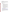### **C**. **Selection Recommendations**

Final funding decisions will be made by the Approving Official based on the rankings and preliminary recommendation of the EPA evaluation team. In making the final funding decisions, the Approving Official may also consider programmatic priorities, geographic diversity and the statutory funding allocation [EPAct of 2005, Section 792 (b)]. Once final decisions have been made a funding recommendation will be developed and forwarded to the EPA Award Official.

## **VI. AWARD ADMINISTRATION INFORMATION**

### **A. Award Notices**

Following evaluation of proposals, all applicants will be notified regarding their status.

#### **Proposal Notifications**

1. EPA anticipates notification to the *successful* applicant will be made via telephone, electronic or postal mail by December 21, 2008. The notification will advise the applicant that its Proposal has been successfully evaluated and recommended for award. The notification will be sent to the original signer of the application. The notice shall require submission of a Final Application. *(Refer to Section IV.B, Form of Proposal Submission and Section IV.C Content of Proposal Submission)*

This notification, which advises that the applicant's proposal has been recommended for award, is not an authorization to begin performance. The award offer signed by the EPA Award Official is the authorizing document and will be provided through postal mail. At a minimum, this process can take up to 90 days from the date of award recommendation.

2. EPA anticipates notification to *unsuccessful* applicant(s) will be made via electronic or postal mail by December 21, 2008. The notification will be sent to the original signer of the application.

### **B. Administrative and National Policy Requirement**

A listing and description of general EPA Regulations applicable to the award of assistance agreements may be viewed at: [http://www.epa.gov/ogd/AppKit/applicable\\_epa\\_regulations\\_and\\_description.htm.](http://www.epa.gov/ogd/AppKit/applicable_epa_regulations_and_description.htm)

Executive Order 12372, Intergovernmental Review of Federal Programs may be applicable to awards resulting from this announcement. Applicants selected for funding may be required to provide a copy of their proposal to their [State Point of](http://www.whitehouse.gov/omb/grants/spoc.html)  [Contact](http://www.whitehouse.gov/omb/grants/spoc.html) (SPOC) for review, pursuant to Executive Order 12372, Intergovernmental Review of Federal Programs. This review is not required with the initial proposal and not all States require such a review. *Federally-recognized Tribal governments are not required to comply with this procedure.*

## **C. DUNS Number**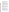All applicants **are required** to provide a Dun and Bradstreet (D&B) Data Universal Numbering System (DUNS) number when applying for a Federal grant or cooperative agreement. Applicants can receive a DUNS number, at no cost, by calling the dedicated toll-free DUNS Number request line at 1-866-705-5711, or visiting the D&B website at: [http://Fedgov.dnb.com/webform](http://fedgov.dnb.com/webform).

### **D. Reporting Requirement**

Quarterly progress reports and a detailed final report will be required. Quarterly reports summarizing technical progress, planned activities for next quarter and summary of expenditures are required. The final report shall be submitted to EPA within 90 calendar days of the completion of the period of performance. The final report should include: summary of the project or activity, advances achieved and costs of the project or activity. In addition, the final report shall discuss the problems, successes, and lessons learned from the project or activity that could help overcome structural, organizational or technical obstacles to implementing a similar project elsewhere. The final report should specifically pay special attention to the use of the emerging technology and the successes and lessons learned of applying this technology to the fleet. The schedule for submission of quarterly reports will be established by EPA, after the award.

## **E. Exchange Network**

EPA, states, territories, and tribes are working together to develop the National Environmental Information Exchange Network, a secure, Internet- and standardsbased way to support electronic data reporting, sharing, and integration of both regulatory and non-regulatory environmental data. States, tribes and territories exchanging data with each other or with EPA, should make the Exchange Network and the Agency's connection to it, the Central Data Exchange (CDX), the standard way they exchange data and should phase out any legacy methods they have been using. More information on the Exchange Network is available at www.exchangenetwork.net.

## **F. Disputes**

Assistance agreement competition-related disputes will be resolved in accordance with the dispute resolution procedures published in 70 FR (Federal Register) 3629, 3630 (January 26, 2005) located on the web at: [http://frwebgate.access.gpo.gov/cgi](http://frwebgate.access.gpo.gov/cgi-bin/getpage.cgi?position=all&page=3629&dbname=2005_register)[bin/getpage.cgi?position=all&page=3629&dbname=2005\\_register](http://frwebgate.access.gpo.gov/cgi-bin/getpage.cgi?position=all&page=3629&dbname=2005_register)

## **G. Non-profit Administrative Capability**

Non-profit applicants that are recommended for funding under this announcement are subject to pre-award administrative capability reviews consistent with Section 8b, 8c and 9d of EPA Order 5700.8 - Policy on Assessing Capabilities of Non-Profit Applicants for Managing Assistance Awards [\(http://www.epa.gov/ogd/grants/award/5700\\_8.pdf\)](http://www.epa.gov/ogd/grants/award/5700_8.pdf). In addition, non-profit applicants that qualify for funding may, depending on the size of the award, be required to fill out and submit to the Grants Management Office the Administrative Capabilities Form, with supporting documents, contained in Appendix A of EPA Order 5700.8.